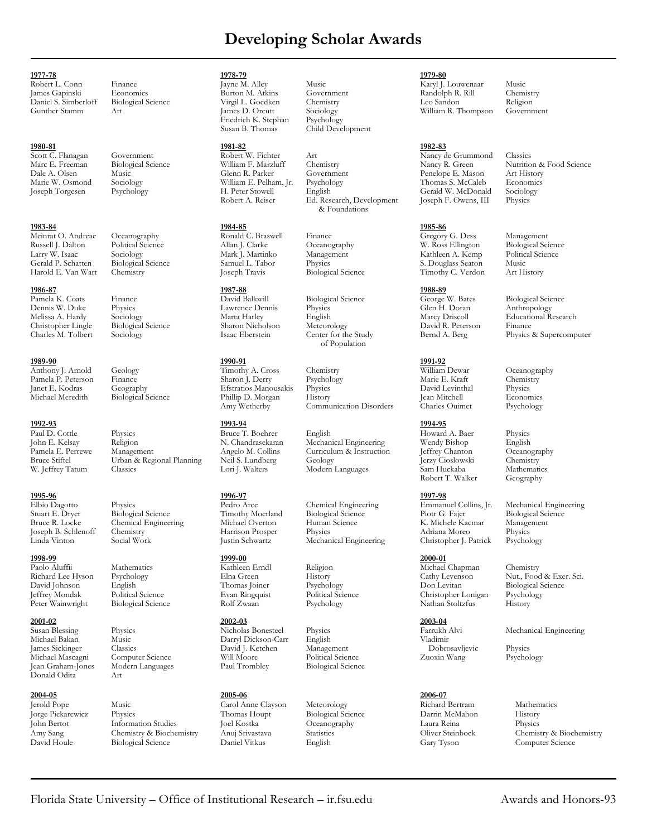## **Developing Scholar Awards**

Daniel S. Simberloff Biological Science Virgil L. Goedken Chemistry Leo Sandon Religion

Russell J. Dalton Political Science Allan J. Clarke Oceanography W. Ross Ellington Biological Science Larry W. Isaac Sociology Mark J. Martinko Management Kathleen A. Kemp Political Science Gerald P. Schatten Biological Science Samuel L. Tabor Physics S. Douglass Seaton Music Harold E. Van Wart Chemistry Joseph Travis Biological Science Timothy C. Verdon Art History

### **1989-90 1990-91 1991-92**

### **1995-96 1996-97 1997-98**

Jeffrey Mondak Political Science Evan Ringquist Political Science Christopher Lonigan Psychology

Jean Graham-Jones Modern Languages Paul Trombley Biological Science Donald Odita

**1977-78 1978-79 1979-80**

**1983-84 1984-85 1985-86**

**1986-87 1987-88 1988-89**

Paul D. Cottle Physics Bruce T. Boehrer English Howard A. Baer Physics John E. Kelsay Religion N. Chandrasekaran Mechanical Engineering Wendy Bishop English Pamela E. Perrewe Management Angelo M. Collins Curriculum & Instruction Jeffrey Chanton Oceanogra<br>
Bruce Stiftel Urban & Regional Planning Neil S. Lundberg Geology Jerzy Cioslowski Chemistry Bruce Stiftel Urban & Regional Planning Neil S. Lundberg Geology Jerzy Cioslowski Chemistry

Biological Science Rolf Zwaan Psychology Nathan Stoltzfus History

Computer Science

**2004-05 2005-06 2006-07** Jerold Pope Music Carol Anne Clayson Meteorology Richard Bertram Mathematics Jorge Piekarewicz Physics Thomas Houpt Biological Science Darrin McMahon History John Bertot Information Studies Joel Kostka Oceanography Laura Reina Physics David Houle Biological Science Daniel Vitkus English Gary Tyson Computer Science

Art James D. Orcutt Sociology William R. Thompson Friedrich K. Stephan Psychology Friedrich K. Stephan<br>Susan B. Thomas

**1992-93 1993-94 1994-95**

**1998-99 1999-00 2000-01**

**2001-02 2002-03 2003-04** Susan Blessing Physics Nicholas Bonesteel Physics Farrukh Alvi Mechanical Engineering Michael Bakan Music Darryl Dickson-Carr English Vladimir James Sickinger Classics David J. Ketchen Management Dobrosavljevic Physics

Child Development

**1980-81 1981-82 1982-83** Scott C. Flanagan Government Robert W. Fichter Art Nancy de Grummond Classics Marc E. Freeman Biological Science William F. Marzluff Chemistry Nancy R. Green Nutrition & Food Science Dale A. Olsen Music Glenn R. Parker Government Penelope E. Mason Art History Marie W. Osmond Sociology William E. Pelham, Jr. Psychology Thomas S. McCaleb Economic<br>
Joseph Torgesen Psychology H. Peter Stowell English Gerald W. McDonald Sociology H. Peter Stowell English Gerald W. McDonald Sociolo<br>
Robert A. Reiser Ed. Research, Development Joseph F. Owens, III Physics Ed. Research, Development & Foundations

Pamela K. Coats Finance **Finance** David Balkwill Biological Science George W. Bates Biological Science Dennis W. Duke Physics Lawrence Dennis Physics Glen H. Doran Anthropology Christopher Lingle Biological Science Sharon Nicholson Meteorology<br>Charles M. Tolbert Sociology Isaac Eberstein Center for the Study of Population

Anthony J. Arnold Geology Timothy A. Cross Chemistry William Dewar Oceanography<br>Pamela P. Peterson Finance Sharon J. Derry Psychology Marie E. Kraft Chemistry Pamela P. Peterson Finance Sharon J. Derry Psychology Marie E. Kraft Chemist<br>Pamel B. Kraft Chemistry (Seography Hysics Physics Physics David Levinthal Physics Janet E. Kodras Geography Efstratios Manousakis Physics David Levinthal Physics Phillip D. Morgan History Jean Mitchell Economics<br>Amy Wetherby Communication Disorders Charles Ouimet Psychology Communication Disorders

Stuart E. Dryer Biological Science Timothy Moerland Biological Science Piotr G. Fajer Biological Science Bruce R. Locke Chemical Engineering Michael Overton Human Science K. Michele Kacmar Management Joseph B. Schlenoff Chemistry Harrison Prosper Physics Adriana Moreo Physics Mechanical Engineering

Robert L. Conn Finance **1988** France Jayne M. Alley Music Music **Karyl J. Louwenaar** Music Lames Gapinski Economics Burton M. Atkins Government Randolph R. Rill Chemistry James Gapinski Economics Burton M. Atkins Government Randolph R. Rill Chemistry

Meinrat O. Andreae Oceanography **Ronald C. Braswell** Finance Gregory G. Dess Management Russell J. Dalton Political Science Allan J. Clarke Oceanography W. Ross Ellington Biological Science

W. Jeffrey Tatum Classics Lori J. Walters Modern Languages Sam Huckaba Mathematic<br>Robert T. Walker Geography Robert T. Walker

Paolo Aluffii Mathematics Mathematics Kathleen Erndl Religion Michael Chapman Chemistry<br>Richard Lee Hyson Psychology Elna Green History Cathy Levenson Nut., Foo David Johnson English Thomas Joiner Psychology Don Levitan Biological Science

Melissa A. Hardy Sociology Marta Harley English Marcy Driscoll Educational Research Sociology Isaac Eberstein Center for the Study Bernd A. Berg Physics & Supercomputer

Elbio Dagotto Physics Pedro Arce Chemical Engineering Emmanuel Collins, Jr. Mechanical Engineering<br>
Stuart E. Drver Biological Science Timothy Moerland Biological Science Piotr G. Fajer Biological Science

Richard Lee Hyson Psychology – Elna Green History – Cathy Levenson Nut., Food & Exer. Sci.<br>David Johnson – English – Thomas Joiner – Psychology – Don Levitan – Biological Science

Amy Sang Chemistry & Biochemistry Anuj Srivastava Statistics Oliver Steinbock Chemistry & Biochemistry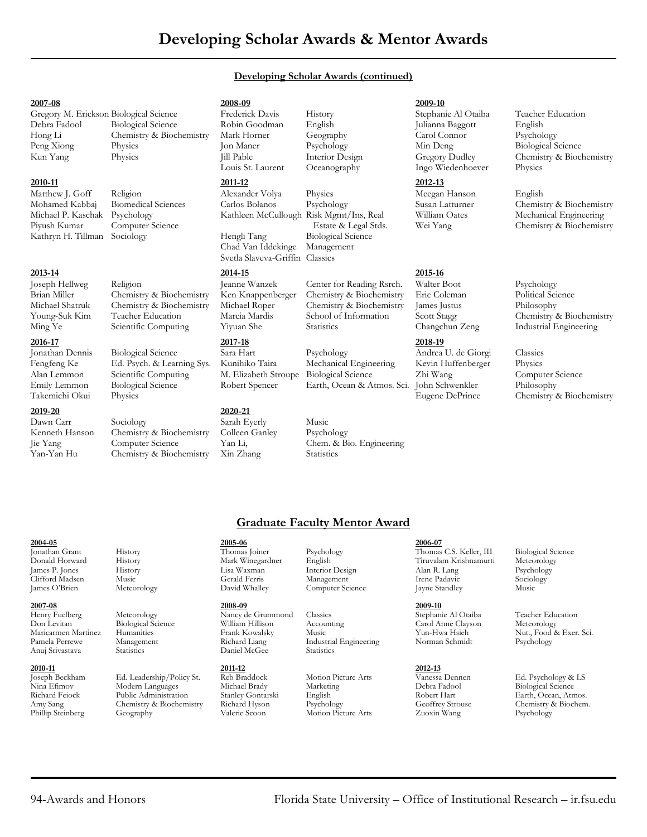## **Developing Scholar Awards (continued)**

Gregory M. Erickson Biological Science Frederick Davis History Stephanie Al Otaiba Teacher Education Debra Fadool Biological Science Robin Goodman English Julianna Baggott English Hong Li Chemistry & Biochemistry Mark Horner Geography Carol Connor Peng Xiong Physics Jon Maner Psychology Min Deng Peng Xiong Physics Jon Maner Psychology Min Deng Biological Science<br>
1999 - Min Deng Biological Science Interior Design (Gregory Dudley Chemistry & Biocl<br>
1999 - Physics III Pable Interior Design (Gregory Dudley Chemistry

# **2010-11 2011-12 2012-13**

Dawn Carr Sociology Sarah Eyerly Music

**2007-08 2008-09 2009-10**

Kathryn H. Tillman Sociology Hengli Tang Biological Science

## **2013-14 2014-15 2015-16** Joseph Hellweg Religion Jeanne Wanzek Center for Reading Rsrch. Walter Boot Psychology Brian Miller Chemistry & Biochemistry Ken Knappenberger Chemistry & Biochemistry Eric Coleman Political Science<br>Michael Shatruk Chemistry & Biochemistry Michael Roper Chemistry & Biochemistry James Justus Philosophy Chemistry & Biochemistry Michael Roper Chemistry & Biochemistry James Justus Philosophy<br>Teacher Education Marcia Marcia School of Information Scott Stagg Chemistry

Jonathan Dennis Biological Science Sara Hart Psychology Andrea U. de Giorgi Classics Fengfeng Ke Ed. Psych. & Learning Sys. Kunihiko Taira Mechanical Engineering Kevin Huffenberger Physics Alan Lemmon Scientific Computing M. Elizabeth Stroupe Biological Science Zhi Wang Emily Lemmon Biological Science Robert Spencer Earth, Ocean & Atmos. Sci. John Schwenkler Philosophy

Kenneth Hanson Chemistry & Biochemistry Colleen Ganley Psychology Jie Yang Computer Science Yan Li, Chem. & Bio. Engineering Yan-Yan Hu Chemistry & Biochemistry Xin Zhang Statistics

Chad Van Iddekinge Management Svetla Slaveva-Griffin Classics

## **2019-20 2020-21**

Matthew J. Goff Religion Alexander Volya Physics Meegan Hanson English Kathleen McCullough Risk Mgmt/Ins, Real

Ming Ye Scientific Computing Yiyuan She Statistics Changchun Zeng Industrial Engineering **2016-17 2017-18 2018-19**

Physics Jill Pable Interior Design Gregory Dudley Chemistry & Biochemistry<br>
Louis St. Laurent Oceanography Ingo Wiedenhoever Physics Ingo Wiedenhoever Physics

Mohamed Kabbaj Biomedical Sciences Carlos Bolanos Psychology Susan Latturner Chemistry & Biochemistry<br>Michael P. Kaschak Psychology Kathleen McCullough Risk Mgmt/Ins, Real William Oates Mechanical Engineering Piyush Kumar Computer Science Estate & Legal Stds. Wei Yang Chemistry & Biochemistry

# Young-Suk Kim Teacher Education Marcia Mardis School of Information Scott Stagg Chemistry & Biochemistry

Takemichi Okui Physics Eugene DePrince Chemistry & Biochemistry

## **Graduate Faculty Mentor Award**

### **2007-08 2008-09 2009-10**

Anuj Srivastava

Joseph Beckham Ed. Leadership/Policy St. Reb Braddock Motion Picture Arts Vanessa Dennen Ed. Psychology & LS Nina Efimov Modern Languages Michael Brady Marketing Debra Fadool Biological Science Richard Feiock Public Administration Stanley Gontarski English Robert Hart Rarth, Ocean, Atmos.<br>
Amy Sang Chemistry & Biochemistry Richard Hyson Psychology Geoffrey Strouse Chemistry & Biochem. Amy Sang Chemistry & Biochemistry Richard Hyson Psychology Geoffrey Strouse Chemistry Chemistry & Biochemistry<br>Phillip Steinberg Geography Valerie Scoon Motion Picture Arts Zuoxin Wang Psychology Phillip Steinberg Geography Valerie Scoon Motion Picture Arts Zuoxin Wang Psychology

# **2004-05 2005-06 2006-07**

## **2010-11 2011-12 2012-13**

Computer Science

Henry Fuelberg Meteorology **Nancy de Grummond** Classics Stephanie Al Otaiba Teacher Education<br>
Don Levitan Biological Science William Hillison Accounting Carol Anne Clavson Meteorology  $\begin{array}{l|l|l|l|}\hline \text{Henty Fuelberg}&\text{Meteorology}&\text{Nancy de Grummond}&\text{Classics}&\text{Stephanie Al Otaiba}&\text{Teacher Edu&\nDon Levitan &\text{Biological Science}&\text{William Hillison}&\text{Accounting}&\text{Carol Anne Clayson}&\text{Meteorology}&\text{Meterorology}&\text{Meterorology}&\text{Caryon}&\text{Antic} &\text{Caryon}&\text{Meterorology}&\text{Meterorology}&\text{Meterorology}&\text{Meterorology}&\text{Meterorology}&\text{Meterorology}&\text{Meterorology}&\text{Meterorology}&\text{Meterorology}&\text{$ Frank Kowalsky Music Music Yun-Hwa Hsieh Nut., Food & Exer. Sci.<br>Richard Liang Industrial Engineering Norman Schmidt Psychology Pamela Perrewe Management Richard Liang Industrial Engineering Norman Schmidt Psychology

Jonathan Grant History Thomas Joiner Psychology Thomas C.S. Keller, III Biological Science Donald Horward History Mark Winegardner English Tiruvalam Krishnamurti Meteorology James P. Jones History Lisa Waxman Interior Design Alan R. Lang Psychology Clifford Madsen Music Gerald Ferris Management Irene Padavic Sociology